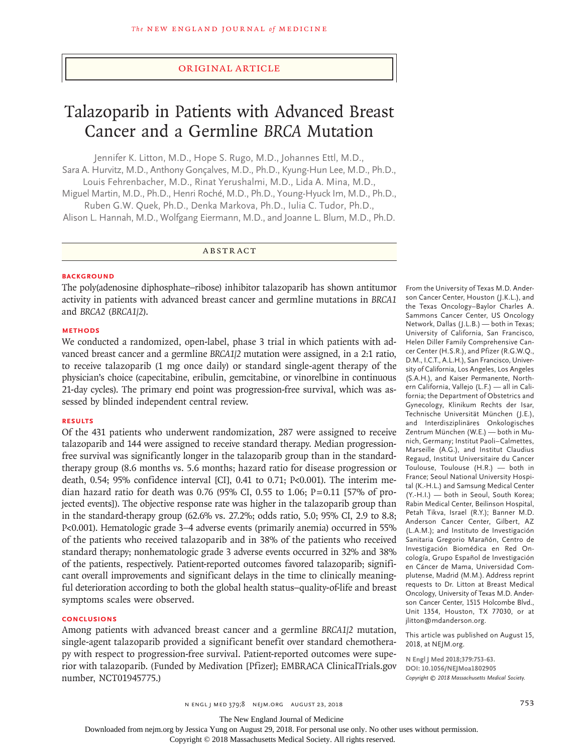## Original Article

# Talazoparib in Patients with Advanced Breast Cancer and a Germline *BRCA* Mutation

Jennifer K. Litton, M.D., Hope S. Rugo, M.D., Johannes Ettl, M.D., Sara A. Hurvitz, M.D., Anthony Gonçalves, M.D., Ph.D., Kyung-Hun Lee, M.D., Ph.D., Louis Fehrenbacher, M.D., Rinat Yerushalmi, M.D., Lida A. Mina, M.D.,

Miguel Martin, M.D., Ph.D., Henri Roché, M.D., Ph.D., Young-Hyuck Im, M.D., Ph.D., Ruben G.W. Quek, Ph.D., Denka Markova, Ph.D., Iulia C. Tudor, Ph.D.,

Alison L. Hannah, M.D., Wolfgang Eiermann, M.D., and Joanne L. Blum, M.D., Ph.D.

ABSTRACT

#### **BACKGROUND**

The poly(adenosine diphosphate–ribose) inhibitor talazoparib has shown antitumor activity in patients with advanced breast cancer and germline mutations in *BRCA1* and *BRCA2* (*BRCA1/2*).

# **METHODS**

We conducted a randomized, open-label, phase 3 trial in which patients with advanced breast cancer and a germline *BRCA1/2* mutation were assigned, in a 2:1 ratio, to receive talazoparib (1 mg once daily) or standard single-agent therapy of the physician's choice (capecitabine, eribulin, gemcitabine, or vinorelbine in continuous 21-day cycles). The primary end point was progression-free survival, which was assessed by blinded independent central review.

## **RESULTS**

Of the 431 patients who underwent randomization, 287 were assigned to receive talazoparib and 144 were assigned to receive standard therapy. Median progressionfree survival was significantly longer in the talazoparib group than in the standardtherapy group (8.6 months vs. 5.6 months; hazard ratio for disease progression or death, 0.54; 95% confidence interval [CI], 0.41 to 0.71; P<0.001). The interim median hazard ratio for death was 0.76 (95% CI, 0.55 to 1.06;  $P = 0.11$  [57% of projected events]). The objective response rate was higher in the talazoparib group than in the standard-therapy group (62.6% vs. 27.2%; odds ratio, 5.0; 95% CI, 2.9 to 8.8; P<0.001). Hematologic grade 3–4 adverse events (primarily anemia) occurred in 55% of the patients who received talazoparib and in 38% of the patients who received standard therapy; nonhematologic grade 3 adverse events occurred in 32% and 38% of the patients, respectively. Patient-reported outcomes favored talazoparib; significant overall improvements and significant delays in the time to clinically meaningful deterioration according to both the global health status–quality-of-life and breast symptoms scales were observed.

## **CONCLUSIONS**

Among patients with advanced breast cancer and a germline *BRCA1/2* mutation, single-agent talazoparib provided a significant benefit over standard chemotherapy with respect to progression-free survival. Patient-reported outcomes were superior with talazoparib. (Funded by Medivation [Pfizer]; EMBRACA ClinicalTrials.gov number, NCT01945775.)

From the University of Texas M.D. Anderson Cancer Center, Houston (J.K.L.), and the Texas Oncology–Baylor Charles A. Sammons Cancer Center, US Oncology Network, Dallas (J.L.B.) — both in Texas; University of California, San Francisco, Helen Diller Family Comprehensive Cancer Center (H.S.R.), and Pfizer (R.G.W.Q., D.M., I.C.T., A.L.H.), San Francisco, University of California, Los Angeles, Los Angeles (S.A.H.), and Kaiser Permanente, Northern California, Vallejo (L.F.) — all in California; the Department of Obstetrics and Gynecology, Klinikum Rechts der Isar, Technische Universität München (J.E.), and Interdisziplinäres Onkologisches Zentrum München (W.E.) — both in Munich, Germany; Institut Paoli–Calmettes, Marseille (A.G.), and Institut Claudius Regaud, Institut Universitaire du Cancer Toulouse, Toulouse (H.R.) — both in France; Seoul National University Hospital (K.-H.L.) and Samsung Medical Center (Y.-H.I.) — both in Seoul, South Korea; Rabin Medical Center, Beilinson Hospital, Petah Tikva, Israel (R.Y.); Banner M.D. Anderson Cancer Center, Gilbert, AZ (L.A.M.); and Instituto de Investigación Sanitaria Gregorio Marañón, Centro de Investigación Biomédica en Red Oncología, Grupo Español de Investigación en Cáncer de Mama, Universidad Complutense, Madrid (M.M.). Address reprint requests to Dr. Litton at Breast Medical Oncology, University of Texas M.D. Anderson Cancer Center, 1515 Holcombe Blvd., Unit 1354, Houston, TX 77030, or at jlitton@mdanderson.org.

This article was published on August 15, 2018, at NEJM.org.

**N Engl J Med 2018;379:753-63. DOI: 10.1056/NEJMoa1802905** *Copyright © 2018 Massachusetts Medical Society.*

n engl j med 379;8 nejm.org August 23, 2018 753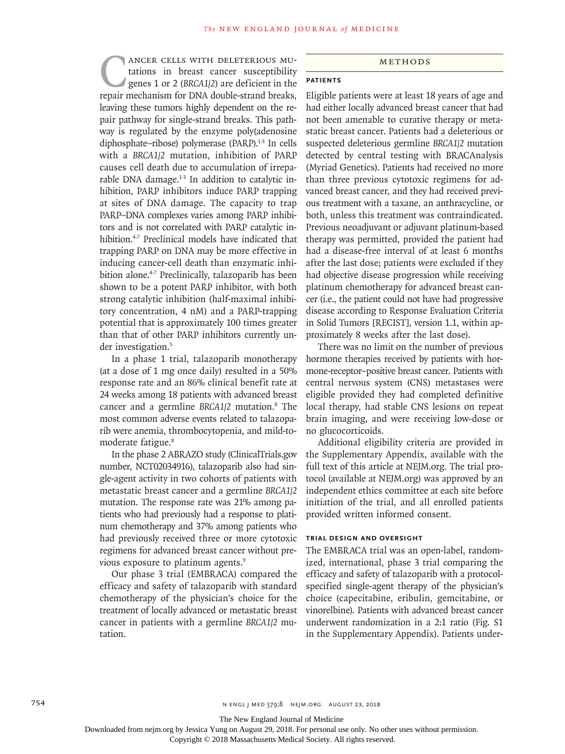ANCER CELLS WITH DELETERIOUS MU-<br>tations in breast cancer susceptibility<br>genes 1 or 2 (BRCA1/2) are deficient in the<br>repair mechanism for DNA double-strand breaks. tations in breast cancer susceptibility genes 1 or 2 (*BRCA1/2*) are deficient in the repair mechanism for DNA double-strand breaks, leaving these tumors highly dependent on the repair pathway for single-strand breaks. This pathway is regulated by the enzyme poly(adenosine diphosphate–ribose) polymerase (PARP).<sup>1-3</sup> In cells with a *BRCA1/2* mutation, inhibition of PARP causes cell death due to accumulation of irreparable DNA damage.<sup>1-3</sup> In addition to catalytic inhibition, PARP inhibitors induce PARP trapping at sites of DNA damage. The capacity to trap PARP–DNA complexes varies among PARP inhibitors and is not correlated with PARP catalytic inhibition.<sup>4-7</sup> Preclinical models have indicated that trapping PARP on DNA may be more effective in inducing cancer-cell death than enzymatic inhibition alone.<sup>4-7</sup> Preclinically, talazoparib has been shown to be a potent PARP inhibitor, with both strong catalytic inhibition (half-maximal inhibitory concentration, 4 nM) and a PARP-trapping potential that is approximately 100 times greater than that of other PARP inhibitors currently under investigation.<sup>5</sup>

In a phase 1 trial, talazoparib monotherapy (at a dose of 1 mg once daily) resulted in a 50% response rate and an 86% clinical benefit rate at 24 weeks among 18 patients with advanced breast cancer and a germline *BRCA1/2* mutation.8 The most common adverse events related to talazoparib were anemia, thrombocytopenia, and mild-tomoderate fatigue.<sup>8</sup>

In the phase 2 ABRAZO study (ClinicalTrials.gov number, NCT02034916), talazoparib also had single-agent activity in two cohorts of patients with metastatic breast cancer and a germline *BRCA1/2* mutation. The response rate was 21% among patients who had previously had a response to platinum chemotherapy and 37% among patients who had previously received three or more cytotoxic regimens for advanced breast cancer without previous exposure to platinum agents.<sup>9</sup>

Our phase 3 trial (EMBRACA) compared the efficacy and safety of talazoparib with standard chemotherapy of the physician's choice for the treatment of locally advanced or metastatic breast cancer in patients with a germline *BRCA1/2* mutation.

#### Methods

## **Patients**

Eligible patients were at least 18 years of age and had either locally advanced breast cancer that had not been amenable to curative therapy or metastatic breast cancer. Patients had a deleterious or suspected deleterious germline *BRCA1/2* mutation detected by central testing with BRACAnalysis (Myriad Genetics). Patients had received no more than three previous cytotoxic regimens for advanced breast cancer, and they had received previous treatment with a taxane, an anthracycline, or both, unless this treatment was contraindicated. Previous neoadjuvant or adjuvant platinum-based therapy was permitted, provided the patient had had a disease-free interval of at least 6 months after the last dose; patients were excluded if they had objective disease progression while receiving platinum chemotherapy for advanced breast cancer (i.e., the patient could not have had progressive disease according to Response Evaluation Criteria in Solid Tumors [RECIST], version 1.1, within approximately 8 weeks after the last dose).

There was no limit on the number of previous hormone therapies received by patients with hormone-receptor–positive breast cancer. Patients with central nervous system (CNS) metastases were eligible provided they had completed definitive local therapy, had stable CNS lesions on repeat brain imaging, and were receiving low-dose or no glucocorticoids.

Additional eligibility criteria are provided in the Supplementary Appendix, available with the full text of this article at NEJM.org. The trial protocol (available at NEJM.org) was approved by an independent ethics committee at each site before initiation of the trial, and all enrolled patients provided written informed consent.

## **Trial Design and Oversight**

The EMBRACA trial was an open-label, randomized, international, phase 3 trial comparing the efficacy and safety of talazoparib with a protocolspecified single-agent therapy of the physician's choice (capecitabine, eribulin, gemcitabine, or vinorelbine). Patients with advanced breast cancer underwent randomization in a 2:1 ratio (Fig. S1 in the Supplementary Appendix). Patients under-

The New England Journal of Medicine

Downloaded from nejm.org by Jessica Yung on August 29, 2018. For personal use only. No other uses without permission.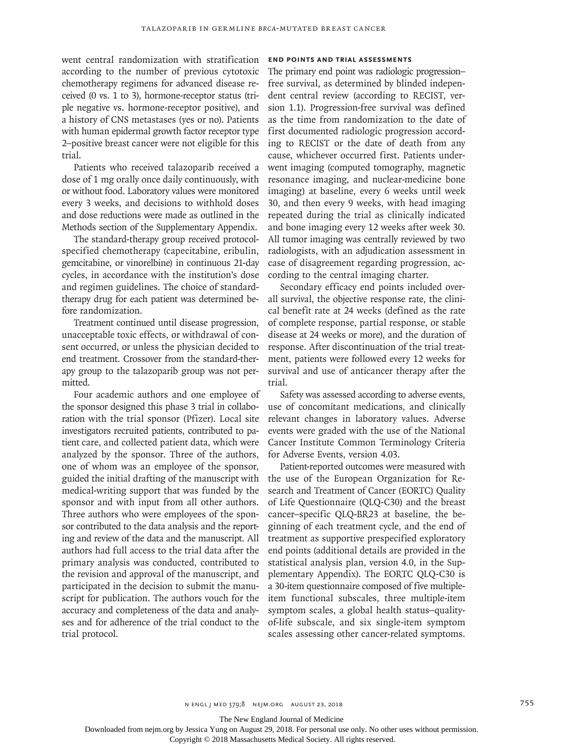went central randomization with stratification according to the number of previous cytotoxic chemotherapy regimens for advanced disease received (0 vs. 1 to 3), hormone-receptor status (triple negative vs. hormone-receptor positive), and a history of CNS metastases (yes or no). Patients with human epidermal growth factor receptor type 2–positive breast cancer were not eligible for this trial.

Patients who received talazoparib received a dose of 1 mg orally once daily continuously, with or without food. Laboratory values were monitored every 3 weeks, and decisions to withhold doses and dose reductions were made as outlined in the Methods section of the Supplementary Appendix.

The standard-therapy group received protocolspecified chemotherapy (capecitabine, eribulin, gemcitabine, or vinorelbine) in continuous 21-day cycles, in accordance with the institution's dose and regimen guidelines. The choice of standardtherapy drug for each patient was determined before randomization.

Treatment continued until disease progression, unacceptable toxic effects, or withdrawal of consent occurred, or unless the physician decided to end treatment. Crossover from the standard-therapy group to the talazoparib group was not permitted.

Four academic authors and one employee of the sponsor designed this phase 3 trial in collaboration with the trial sponsor (Pfizer). Local site investigators recruited patients, contributed to patient care, and collected patient data, which were analyzed by the sponsor. Three of the authors, one of whom was an employee of the sponsor, guided the initial drafting of the manuscript with medical-writing support that was funded by the sponsor and with input from all other authors. Three authors who were employees of the sponsor contributed to the data analysis and the reporting and review of the data and the manuscript. All authors had full access to the trial data after the primary analysis was conducted, contributed to the revision and approval of the manuscript, and participated in the decision to submit the manuscript for publication. The authors vouch for the accuracy and completeness of the data and analyses and for adherence of the trial conduct to the trial protocol.

## **End Points and Trial Assessments**

The primary end point was radiologic progression– free survival, as determined by blinded independent central review (according to RECIST, version 1.1). Progression-free survival was defined as the time from randomization to the date of first documented radiologic progression according to RECIST or the date of death from any cause, whichever occurred first. Patients underwent imaging (computed tomography, magnetic resonance imaging, and nuclear-medicine bone imaging) at baseline, every 6 weeks until week 30, and then every 9 weeks, with head imaging repeated during the trial as clinically indicated and bone imaging every 12 weeks after week 30. All tumor imaging was centrally reviewed by two radiologists, with an adjudication assessment in case of disagreement regarding progression, according to the central imaging charter.

Secondary efficacy end points included overall survival, the objective response rate, the clinical benefit rate at 24 weeks (defined as the rate of complete response, partial response, or stable disease at 24 weeks or more), and the duration of response. After discontinuation of the trial treatment, patients were followed every 12 weeks for survival and use of anticancer therapy after the trial.

Safety was assessed according to adverse events, use of concomitant medications, and clinically relevant changes in laboratory values. Adverse events were graded with the use of the National Cancer Institute Common Terminology Criteria for Adverse Events, version 4.03.

Patient-reported outcomes were measured with the use of the European Organization for Research and Treatment of Cancer (EORTC) Quality of Life Questionnaire (QLQ-C30) and the breast cancer–specific QLQ-BR23 at baseline, the beginning of each treatment cycle, and the end of treatment as supportive prespecified exploratory end points (additional details are provided in the statistical analysis plan, version 4.0, in the Supplementary Appendix). The EORTC QLQ-C30 is a 30-item questionnaire composed of five multipleitem functional subscales, three multiple-item symptom scales, a global health status–qualityof-life subscale, and six single-item symptom scales assessing other cancer-related symptoms.

The New England Journal of Medicine

Downloaded from nejm.org by Jessica Yung on August 29, 2018. For personal use only. No other uses without permission.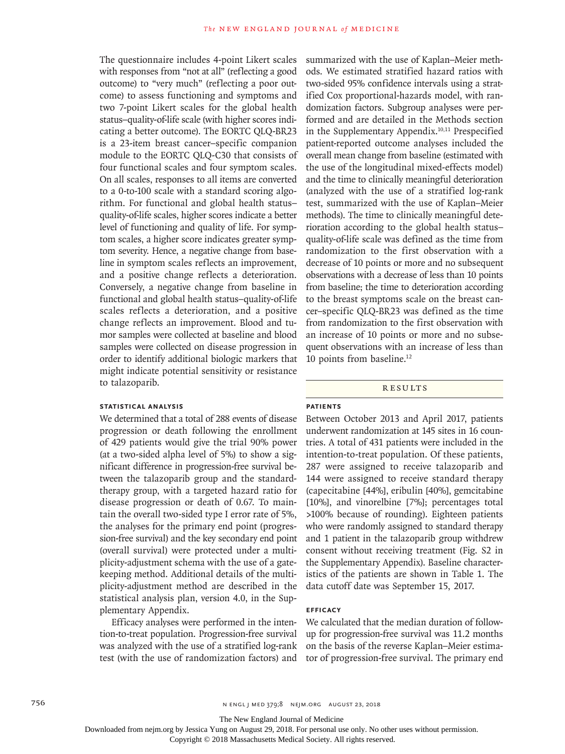The questionnaire includes 4-point Likert scales with responses from "not at all" (reflecting a good outcome) to "very much" (reflecting a poor outcome) to assess functioning and symptoms and two 7-point Likert scales for the global health status–quality-of-life scale (with higher scores indicating a better outcome). The EORTC QLQ-BR23 is a 23-item breast cancer–specific companion module to the EORTC QLQ-C30 that consists of four functional scales and four symptom scales. On all scales, responses to all items are converted to a 0-to-100 scale with a standard scoring algorithm. For functional and global health status– quality-of-life scales, higher scores indicate a better level of functioning and quality of life. For symptom scales, a higher score indicates greater symptom severity. Hence, a negative change from baseline in symptom scales reflects an improvement, and a positive change reflects a deterioration. Conversely, a negative change from baseline in functional and global health status–quality-of-life scales reflects a deterioration, and a positive change reflects an improvement. Blood and tumor samples were collected at baseline and blood samples were collected on disease progression in order to identify additional biologic markers that might indicate potential sensitivity or resistance to talazoparib.

#### **Statistical Analysis**

We determined that a total of 288 events of disease progression or death following the enrollment of 429 patients would give the trial 90% power (at a two-sided alpha level of 5%) to show a significant difference in progression-free survival between the talazoparib group and the standardtherapy group, with a targeted hazard ratio for disease progression or death of 0.67. To maintain the overall two-sided type I error rate of 5%, the analyses for the primary end point (progression-free survival) and the key secondary end point (overall survival) were protected under a multiplicity-adjustment schema with the use of a gatekeeping method. Additional details of the multiplicity-adjustment method are described in the statistical analysis plan, version 4.0, in the Supplementary Appendix.

Efficacy analyses were performed in the intention-to-treat population. Progression-free survival was analyzed with the use of a stratified log-rank test (with the use of randomization factors) and summarized with the use of Kaplan–Meier methods. We estimated stratified hazard ratios with two-sided 95% confidence intervals using a stratified Cox proportional-hazards model, with randomization factors. Subgroup analyses were performed and are detailed in the Methods section in the Supplementary Appendix.<sup>10,11</sup> Prespecified patient-reported outcome analyses included the overall mean change from baseline (estimated with the use of the longitudinal mixed-effects model) and the time to clinically meaningful deterioration (analyzed with the use of a stratified log-rank test, summarized with the use of Kaplan–Meier methods). The time to clinically meaningful deterioration according to the global health status– quality-of-life scale was defined as the time from randomization to the first observation with a decrease of 10 points or more and no subsequent observations with a decrease of less than 10 points from baseline; the time to deterioration according to the breast symptoms scale on the breast cancer–specific QLQ-BR23 was defined as the time from randomization to the first observation with an increase of 10 points or more and no subsequent observations with an increase of less than 10 points from baseline.12

**RESULTS** 

#### **Patients**

Between October 2013 and April 2017, patients underwent randomization at 145 sites in 16 countries. A total of 431 patients were included in the intention-to-treat population. Of these patients, 287 were assigned to receive talazoparib and 144 were assigned to receive standard therapy (capecitabine [44%], eribulin [40%], gemcitabine [10%], and vinorelbine [7%]; percentages total >100% because of rounding). Eighteen patients who were randomly assigned to standard therapy and 1 patient in the talazoparib group withdrew consent without receiving treatment (Fig. S2 in the Supplementary Appendix). Baseline characteristics of the patients are shown in Table 1. The data cutoff date was September 15, 2017.

## **Efficacy**

We calculated that the median duration of followup for progression-free survival was 11.2 months on the basis of the reverse Kaplan–Meier estimator of progression-free survival. The primary end

756 n engl j med 379;8 nejm.org August 23, 2018

The New England Journal of Medicine

Downloaded from nejm.org by Jessica Yung on August 29, 2018. For personal use only. No other uses without permission.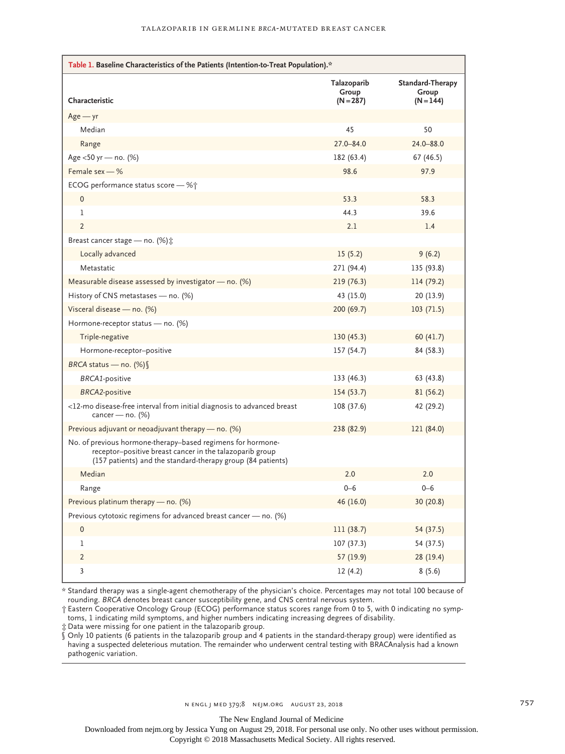| Table 1. Baseline Characteristics of the Patients (Intention-to-Treat Population).*                                                                                                    |                                     |                                          |  |  |
|----------------------------------------------------------------------------------------------------------------------------------------------------------------------------------------|-------------------------------------|------------------------------------------|--|--|
| Characteristic                                                                                                                                                                         | Talazoparib<br>Group<br>$(N = 287)$ | Standard-Therapy<br>Group<br>$(N = 144)$ |  |  |
| $Age - yr$                                                                                                                                                                             |                                     |                                          |  |  |
| Median                                                                                                                                                                                 | 45                                  | 50                                       |  |  |
| Range                                                                                                                                                                                  | 27.0-84.0                           | 24.0-88.0                                |  |  |
| Age <50 yr - no. (%)                                                                                                                                                                   | 182 (63.4)                          | 67 (46.5)                                |  |  |
| Female sex - %                                                                                                                                                                         | 98.6                                | 97.9                                     |  |  |
| ECOG performance status score - %†                                                                                                                                                     |                                     |                                          |  |  |
| 0                                                                                                                                                                                      | 53.3                                | 58.3                                     |  |  |
| 1                                                                                                                                                                                      | 44.3                                | 39.6                                     |  |  |
| $\overline{2}$                                                                                                                                                                         | 2.1                                 | 1.4                                      |  |  |
| Breast cancer stage - no. (%) $\ddagger$                                                                                                                                               |                                     |                                          |  |  |
| Locally advanced                                                                                                                                                                       | 15(5.2)                             | 9(6.2)                                   |  |  |
| Metastatic                                                                                                                                                                             | 271 (94.4)                          | 135 (93.8)                               |  |  |
| Measurable disease assessed by investigator $-$ no. (%)                                                                                                                                | 219(76.3)                           | 114 (79.2)                               |  |  |
| History of CNS metastases - no. (%)                                                                                                                                                    | 43 (15.0)                           | 20(13.9)                                 |  |  |
| Visceral disease - no. (%)                                                                                                                                                             | 200(69.7)                           | 103(71.5)                                |  |  |
| Hormone-receptor status - no. (%)                                                                                                                                                      |                                     |                                          |  |  |
| Triple-negative                                                                                                                                                                        | 130(45.3)                           | 60(41.7)                                 |  |  |
| Hormone-receptor-positive                                                                                                                                                              | 157 (54.7)                          | 84 (58.3)                                |  |  |
| BRCA status - no. (%) §                                                                                                                                                                |                                     |                                          |  |  |
| <b>BRCA1-positive</b>                                                                                                                                                                  | 133 (46.3)                          | 63 (43.8)                                |  |  |
| <b>BRCA2-positive</b>                                                                                                                                                                  | 154(53.7)                           | 81 (56.2)                                |  |  |
| <12-mo disease-free interval from initial diagnosis to advanced breast<br>cancer — no. $(\%)$                                                                                          | 108 (37.6)                          | 42 (29.2)                                |  |  |
| Previous adjuvant or neoadjuvant therapy $-$ no. (%)                                                                                                                                   | 238 (82.9)                          | 121 (84.0)                               |  |  |
| No. of previous hormone-therapy-based regimens for hormone-<br>receptor-positive breast cancer in the talazoparib group<br>(157 patients) and the standard-therapy group (84 patients) |                                     |                                          |  |  |
| Median                                                                                                                                                                                 | 2.0                                 | 2.0                                      |  |  |
| Range                                                                                                                                                                                  | $0 - 6$                             | $0 - 6$                                  |  |  |
| Previous platinum therapy - no. (%)                                                                                                                                                    | 46 (16.0)                           | 30 (20.8)                                |  |  |
| Previous cytotoxic regimens for advanced breast cancer - no. (%)                                                                                                                       |                                     |                                          |  |  |
| $\pmb{0}$                                                                                                                                                                              | 111 (38.7)                          | 54 (37.5)                                |  |  |
| 1                                                                                                                                                                                      | 107(37.3)                           | 54 (37.5)                                |  |  |
| $\overline{2}$                                                                                                                                                                         | 57 (19.9)                           | 28 (19.4)                                |  |  |
| $\mathbf{3}$                                                                                                                                                                           | 12(4.2)                             | 8(5.6)                                   |  |  |

\* Standard therapy was a single-agent chemotherapy of the physician's choice. Percentages may not total 100 because of rounding. *BRCA* denotes breast cancer susceptibility gene, and CNS central nervous system.

† Eastern Cooperative Oncology Group (ECOG) performance status scores range from 0 to 5, with 0 indicating no symptoms, 1 indicating mild symptoms, and higher numbers indicating increasing degrees of disability.

‡ Data were missing for one patient in the talazoparib group.

§ Only 10 patients (6 patients in the talazoparib group and 4 patients in the standard-therapy group) were identified as having a suspected deleterious mutation. The remainder who underwent central testing with BRACAnalysis had a known pathogenic variation.

The New England Journal of Medicine

Downloaded from nejm.org by Jessica Yung on August 29, 2018. For personal use only. No other uses without permission.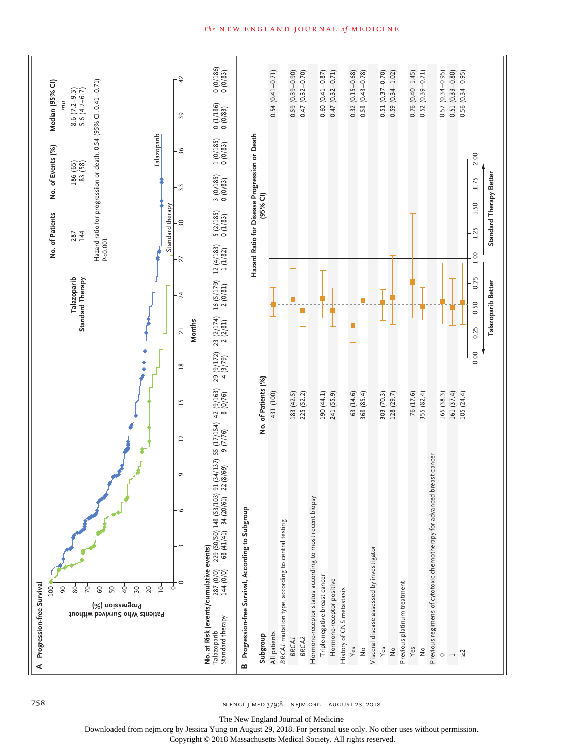

758 negli med 379;8 negli med 379;8 nejm.org August 23, 2018

The New England Journal of Medicine

Downloaded from nejm.org by Jessica Yung on August 29, 2018. For personal use only. No other uses without permission.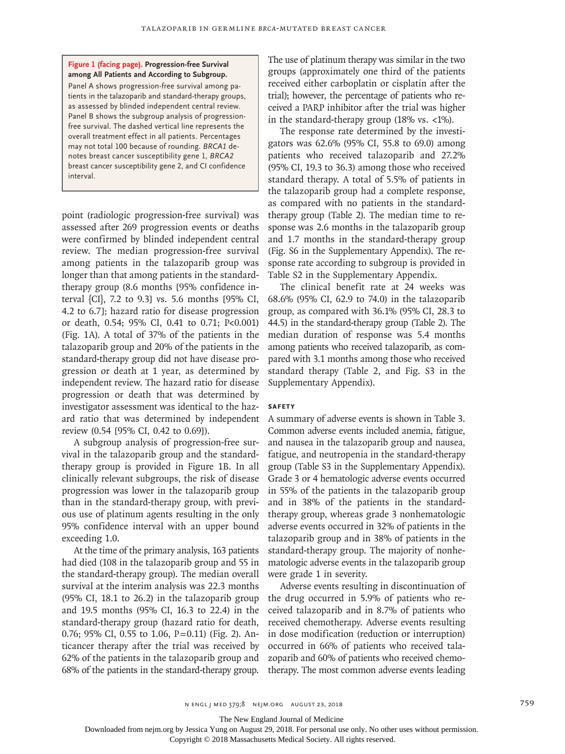#### **Figure 1 (facing page). Progression-free Survival among All Patients and According to Subgroup.**

Panel A shows progression-free survival among patients in the talazoparib and standard-therapy groups, as assessed by blinded independent central review. Panel B shows the subgroup analysis of progressionfree survival. The dashed vertical line represents the overall treatment effect in all patients. Percentages may not total 100 because of rounding. *BRCA1* denotes breast cancer susceptibility gene 1, *BRCA2* breast cancer susceptibility gene 2, and CI confidence interval.

point (radiologic progression-free survival) was assessed after 269 progression events or deaths were confirmed by blinded independent central review. The median progression-free survival among patients in the talazoparib group was longer than that among patients in the standardtherapy group (8.6 months [95% confidence interval {CI}, 7.2 to 9.3] vs. 5.6 months [95% CI, 4.2 to 6.7]; hazard ratio for disease progression or death, 0.54; 95% CI, 0.41 to 0.71; P<0.001) (Fig. 1A). A total of 37% of the patients in the talazoparib group and 20% of the patients in the standard-therapy group did not have disease progression or death at 1 year, as determined by independent review. The hazard ratio for disease progression or death that was determined by investigator assessment was identical to the hazard ratio that was determined by independent review (0.54 [95% CI, 0.42 to 0.69]).

A subgroup analysis of progression-free survival in the talazoparib group and the standardtherapy group is provided in Figure 1B. In all clinically relevant subgroups, the risk of disease progression was lower in the talazoparib group than in the standard-therapy group, with previous use of platinum agents resulting in the only 95% confidence interval with an upper bound exceeding 1.0.

At the time of the primary analysis, 163 patients had died (108 in the talazoparib group and 55 in the standard-therapy group). The median overall survival at the interim analysis was 22.3 months (95% CI, 18.1 to 26.2) in the talazoparib group and 19.5 months (95% CI, 16.3 to 22.4) in the standard-therapy group (hazard ratio for death, 0.76; 95% CI, 0.55 to 1.06, P=0.11) (Fig. 2). Anticancer therapy after the trial was received by 62% of the patients in the talazoparib group and 68% of the patients in the standard-therapy group. The use of platinum therapy was similar in the two groups (approximately one third of the patients received either carboplatin or cisplatin after the trial); however, the percentage of patients who received a PARP inhibitor after the trial was higher in the standard-therapy group (18% vs. <1%).

The response rate determined by the investigators was 62.6% (95% CI, 55.8 to 69.0) among patients who received talazoparib and 27.2% (95% CI, 19.3 to 36.3) among those who received standard therapy. A total of 5.5% of patients in the talazoparib group had a complete response, as compared with no patients in the standardtherapy group (Table 2). The median time to response was 2.6 months in the talazoparib group and 1.7 months in the standard-therapy group (Fig. S6 in the Supplementary Appendix). The response rate according to subgroup is provided in Table S2 in the Supplementary Appendix.

The clinical benefit rate at 24 weeks was 68.6% (95% CI, 62.9 to 74.0) in the talazoparib group, as compared with 36.1% (95% CI, 28.3 to 44.5) in the standard-therapy group (Table 2). The median duration of response was 5.4 months among patients who received talazoparib, as compared with 3.1 months among those who received standard therapy (Table 2, and Fig. S3 in the Supplementary Appendix).

#### **Safety**

A summary of adverse events is shown in Table 3. Common adverse events included anemia, fatigue, and nausea in the talazoparib group and nausea, fatigue, and neutropenia in the standard-therapy group (Table S3 in the Supplementary Appendix). Grade 3 or 4 hematologic adverse events occurred in 55% of the patients in the talazoparib group and in 38% of the patients in the standardtherapy group, whereas grade 3 nonhematologic adverse events occurred in 32% of patients in the talazoparib group and in 38% of patients in the standard-therapy group. The majority of nonhematologic adverse events in the talazoparib group were grade 1 in severity.

Adverse events resulting in discontinuation of the drug occurred in 5.9% of patients who received talazoparib and in 8.7% of patients who received chemotherapy. Adverse events resulting in dose modification (reduction or interruption) occurred in 66% of patients who received talazoparib and 60% of patients who received chemotherapy. The most common adverse events leading

The New England Journal of Medicine

Downloaded from nejm.org by Jessica Yung on August 29, 2018. For personal use only. No other uses without permission.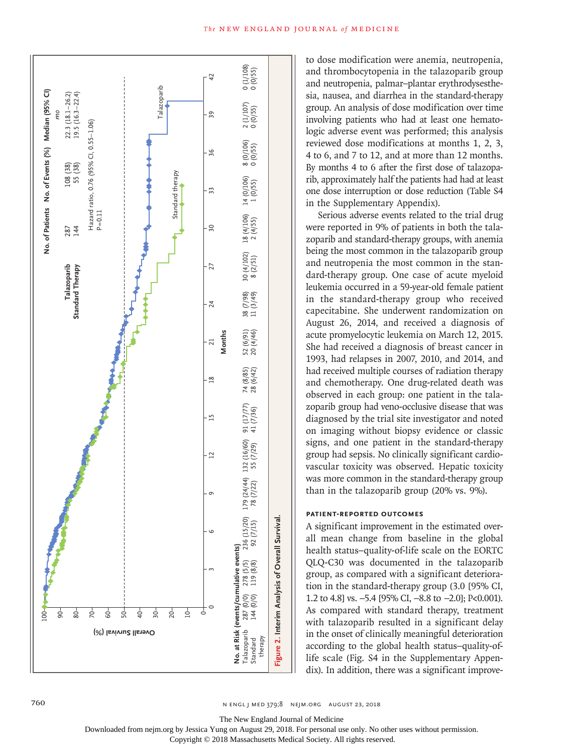

to dose modification were anemia, neutropenia, and thrombocytopenia in the talazoparib group and neutropenia, palmar–plantar erythrodysesthesia, nausea, and diarrhea in the standard-therapy group. An analysis of dose modification over time involving patients who had at least one hematologic adverse event was performed; this analysis reviewed dose modifications at months 1, 2, 3, 4 to 6, and 7 to 12, and at more than 12 months. By months 4 to 6 after the first dose of talazoparib, approximately half the patients had had at least one dose interruption or dose reduction (Table S4 in the Supplementary Appendix).

Serious adverse events related to the trial drug were reported in 9% of patients in both the talazoparib and standard-therapy groups, with anemia being the most common in the talazoparib group and neutropenia the most common in the standard-therapy group. One case of acute myeloid leukemia occurred in a 59-year-old female patient in the standard-therapy group who received capecitabine. She underwent randomization on August 26, 2014, and received a diagnosis of acute promyelocytic leukemia on March 12, 2015. She had received a diagnosis of breast cancer in 1993, had relapses in 2007, 2010, and 2014, and had received multiple courses of radiation therapy and chemotherapy. One drug-related death was observed in each group: one patient in the talazoparib group had veno-occlusive disease that was diagnosed by the trial site investigator and noted on imaging without biopsy evidence or classic signs, and one patient in the standard-therapy group had sepsis. No clinically significant cardiovascular toxicity was observed. Hepatic toxicity was more common in the standard-therapy group than in the talazoparib group (20% vs. 9%).

## **Patient-Reported Outcomes**

A significant improvement in the estimated overall mean change from baseline in the global health status–quality-of-life scale on the EORTC QLQ-C30 was documented in the talazoparib group, as compared with a significant deterioration in the standard-therapy group (3.0 [95% CI, 1.2 to 4.8] vs. −5.4 [95% CI, −8.8 to −2.0]; P<0.001). As compared with standard therapy, treatment with talazoparib resulted in a significant delay in the onset of clinically meaningful deterioration according to the global health status–quality-oflife scale (Fig. S4 in the Supplementary Appendix). In addition, there was a significant improve-

760 n engl j med 379;8 nejm.org August 23, 2018

The New England Journal of Medicine

Downloaded from nejm.org by Jessica Yung on August 29, 2018. For personal use only. No other uses without permission.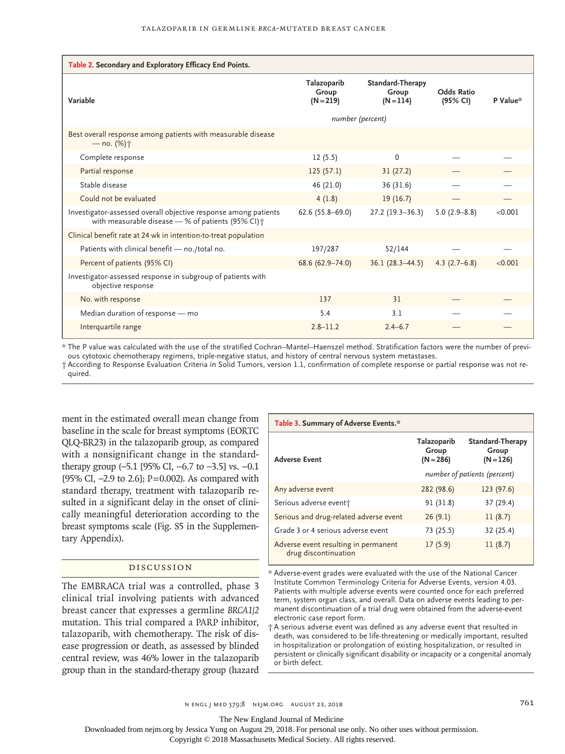| Table 2. Secondary and Exploratory Efficacy End Points.                                                               |                                     |                                                 |                               |          |
|-----------------------------------------------------------------------------------------------------------------------|-------------------------------------|-------------------------------------------------|-------------------------------|----------|
| Variable                                                                                                              | Talazoparib<br>Group<br>$(N = 219)$ | <b>Standard-Therapy</b><br>Group<br>$(N = 114)$ | <b>Odds Ratio</b><br>(95% CI) | P Value* |
|                                                                                                                       | number (percent)                    |                                                 |                               |          |
| Best overall response among patients with measurable disease<br>$-$ no. (%) $\dagger$                                 |                                     |                                                 |                               |          |
| Complete response                                                                                                     | 12(5.5)                             | $\Omega$                                        |                               |          |
| Partial response                                                                                                      | 125(57.1)                           | 31(27.2)                                        |                               |          |
| Stable disease                                                                                                        | 46 (21.0)                           | 36 (31.6)                                       |                               |          |
| Could not be evaluated                                                                                                | 4(1.8)                              | 19(16.7)                                        |                               |          |
| Investigator-assessed overall objective response among patients<br>with measurable disease - % of patients (95% CI) + | $62.6(55.8 - 69.0)$                 | $27.2(19.3-36.3)$                               | $5.0(2.9 - 8.8)$              | < 0.001  |
| Clinical benefit rate at 24 wk in intention-to-treat population                                                       |                                     |                                                 |                               |          |
| Patients with clinical benefit - no./total no.                                                                        | 197/287                             | 52/144                                          |                               |          |
| Percent of patients (95% CI)                                                                                          | 68.6 (62.9-74.0)                    | $36.1(28.3-44.5)$                               | $4.3(2.7-6.8)$                | < 0.001  |
| Investigator-assessed response in subgroup of patients with<br>objective response                                     |                                     |                                                 |                               |          |
| No. with response                                                                                                     | 137                                 | 31                                              |                               |          |
| Median duration of response - mo                                                                                      | 5.4                                 | 3.1                                             |                               |          |
| Interquartile range                                                                                                   | $2.8 - 11.2$                        | $2.4 - 6.7$                                     |                               |          |

\* The P value was calculated with the use of the stratified Cochran–Mantel–Haenszel method. Stratification factors were the number of previous cytotoxic chemotherapy regimens, triple-negative status, and history of central nervous system metastases.

† According to Response Evaluation Criteria in Solid Tumors, version 1.1, confirmation of complete response or partial response was not required.

ment in the estimated overall mean change from baseline in the scale for breast symptoms (EORTC QLQ-BR23) in the talazoparib group, as compared with a nonsignificant change in the standardtherapy group (−5.1 [95% CI, −6.7 to −3.5] vs. −0.1 [95% CI, −2.9 to 2.6]; P=0.002). As compared with standard therapy, treatment with talazoparib resulted in a significant delay in the onset of clinically meaningful deterioration according to the breast symptoms scale (Fig. S5 in the Supplementary Appendix).

### Discussion

The EMBRACA trial was a controlled, phase 3 clinical trial involving patients with advanced breast cancer that expresses a germline *BRCA1/2* mutation. This trial compared a PARP inhibitor, talazoparib, with chemotherapy. The risk of disease progression or death, as assessed by blinded central review, was 46% lower in the talazoparib group than in the standard-therapy group (hazard

| Table 3. Summary of Adverse Events.*                         |                                     |                                          |  |  |
|--------------------------------------------------------------|-------------------------------------|------------------------------------------|--|--|
| <b>Adverse Event</b>                                         | Talazoparib<br>Group<br>$(N = 286)$ | Standard-Therapy<br>Group<br>$(N = 126)$ |  |  |
|                                                              | number of patients (percent)        |                                          |  |  |
| Any adverse event                                            | 282 (98.6)                          | 123 (97.6)                               |  |  |
| Serious adverse event†                                       | 91 (31.8)                           | 37 (29.4)                                |  |  |
| Serious and drug-related adverse event                       | 26(9.1)                             | 11(8.7)                                  |  |  |
| Grade 3 or 4 serious adverse event                           | 73 (25.5)                           | 32 (25.4)                                |  |  |
| Adverse event resulting in permanent<br>drug discontinuation | 17(5.9)                             | 11(8.7)                                  |  |  |

\* Adverse-event grades were evaluated with the use of the National Cancer Institute Common Terminology Criteria for Adverse Events, version 4.03. Patients with multiple adverse events were counted once for each preferred term, system organ class, and overall. Data on adverse events leading to permanent discontinuation of a trial drug were obtained from the adverse-event electronic case report form.

† A serious adverse event was defined as any adverse event that resulted in death, was considered to be life-threatening or medically important, resulted in hospitalization or prolongation of existing hospitalization, or resulted in persistent or clinically significant disability or incapacity or a congenital anomaly or birth defect.

n engl j med 379;8 nejm.org August 23, 2018 761

The New England Journal of Medicine

Downloaded from nejm.org by Jessica Yung on August 29, 2018. For personal use only. No other uses without permission.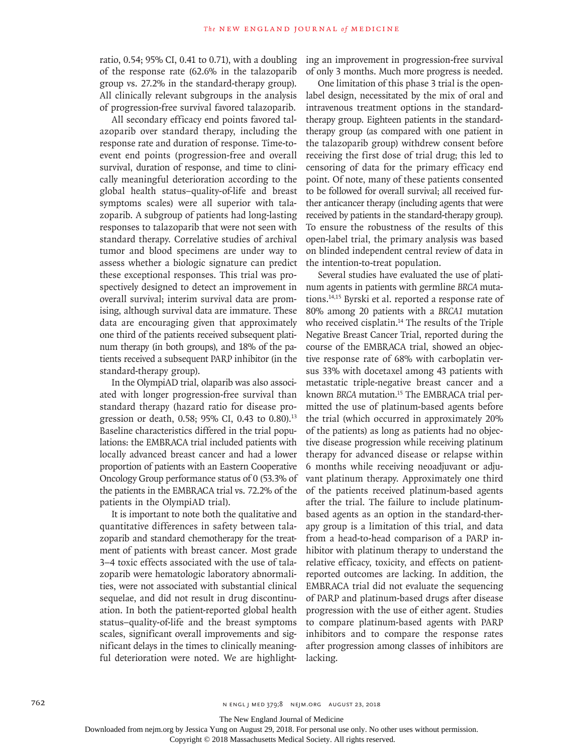ratio, 0.54; 95% CI, 0.41 to 0.71), with a doubling of the response rate (62.6% in the talazoparib group vs. 27.2% in the standard-therapy group). All clinically relevant subgroups in the analysis of progression-free survival favored talazoparib.

All secondary efficacy end points favored talazoparib over standard therapy, including the response rate and duration of response. Time-toevent end points (progression-free and overall survival, duration of response, and time to clinically meaningful deterioration according to the global health status–quality-of-life and breast symptoms scales) were all superior with talazoparib. A subgroup of patients had long-lasting responses to talazoparib that were not seen with standard therapy. Correlative studies of archival tumor and blood specimens are under way to assess whether a biologic signature can predict these exceptional responses. This trial was prospectively designed to detect an improvement in overall survival; interim survival data are promising, although survival data are immature. These data are encouraging given that approximately one third of the patients received subsequent platinum therapy (in both groups), and 18% of the patients received a subsequent PARP inhibitor (in the standard-therapy group).

In the OlympiAD trial, olaparib was also associated with longer progression-free survival than standard therapy (hazard ratio for disease progression or death, 0.58; 95% CI, 0.43 to 0.80).<sup>13</sup> Baseline characteristics differed in the trial populations: the EMBRACA trial included patients with locally advanced breast cancer and had a lower proportion of patients with an Eastern Cooperative Oncology Group performance status of 0 (53.3% of the patients in the EMBRACA trial vs. 72.2% of the patients in the OlympiAD trial).

It is important to note both the qualitative and quantitative differences in safety between talazoparib and standard chemotherapy for the treatment of patients with breast cancer. Most grade 3–4 toxic effects associated with the use of talazoparib were hematologic laboratory abnormalities, were not associated with substantial clinical sequelae, and did not result in drug discontinuation. In both the patient-reported global health status–quality-of-life and the breast symptoms scales, significant overall improvements and significant delays in the times to clinically meaningful deterioration were noted. We are highlighting an improvement in progression-free survival of only 3 months. Much more progress is needed.

One limitation of this phase 3 trial is the openlabel design, necessitated by the mix of oral and intravenous treatment options in the standardtherapy group. Eighteen patients in the standardtherapy group (as compared with one patient in the talazoparib group) withdrew consent before receiving the first dose of trial drug; this led to censoring of data for the primary efficacy end point. Of note, many of these patients consented to be followed for overall survival; all received further anticancer therapy (including agents that were received by patients in the standard-therapy group). To ensure the robustness of the results of this open-label trial, the primary analysis was based on blinded independent central review of data in the intention-to-treat population.

Several studies have evaluated the use of platinum agents in patients with germline *BRCA* mutations.14,15 Byrski et al. reported a response rate of 80% among 20 patients with a *BRCA1* mutation who received cisplatin.<sup>14</sup> The results of the Triple Negative Breast Cancer Trial, reported during the course of the EMBRACA trial, showed an objective response rate of 68% with carboplatin versus 33% with docetaxel among 43 patients with metastatic triple-negative breast cancer and a known *BRCA* mutation.15 The EMBRACA trial permitted the use of platinum-based agents before the trial (which occurred in approximately 20% of the patients) as long as patients had no objective disease progression while receiving platinum therapy for advanced disease or relapse within 6 months while receiving neoadjuvant or adjuvant platinum therapy. Approximately one third of the patients received platinum-based agents after the trial. The failure to include platinumbased agents as an option in the standard-therapy group is a limitation of this trial, and data from a head-to-head comparison of a PARP inhibitor with platinum therapy to understand the relative efficacy, toxicity, and effects on patientreported outcomes are lacking. In addition, the EMBRACA trial did not evaluate the sequencing of PARP and platinum-based drugs after disease progression with the use of either agent. Studies to compare platinum-based agents with PARP inhibitors and to compare the response rates after progression among classes of inhibitors are lacking.

762 n engl j med 379;8 nejm.org August 23, 2018

The New England Journal of Medicine

Downloaded from nejm.org by Jessica Yung on August 29, 2018. For personal use only. No other uses without permission.